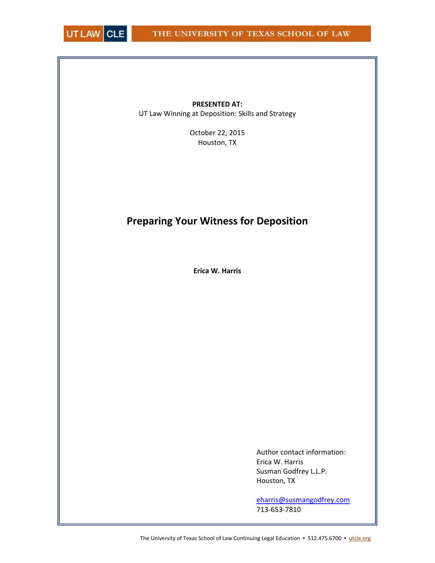

**PRESENTED AT:** UT Law Winning at Deposition: Skills and Strategy

> October 22, 2015 Houston, TX

# **Preparing Your Witness for Deposition**

**Erica W. Harris**

Author contact information: Erica W. Harris Susman Godfrey L.L.P. Houston, TX

eharris@susmangodfrey.com 713‐653‐7810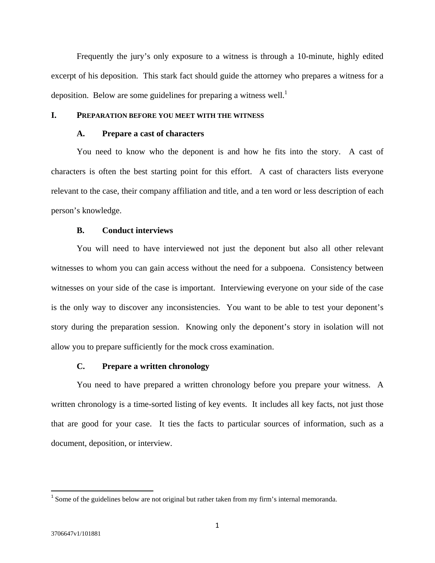Frequently the jury's only exposure to a witness is through a 10-minute, highly edited excerpt of his deposition. This stark fact should guide the attorney who prepares a witness for a deposition. Below are some guidelines for preparing a witness well.<sup>1</sup>

## **I. PREPARATION BEFORE YOU MEET WITH THE WITNESS**

# **A. Prepare a cast of characters**

 You need to know who the deponent is and how he fits into the story. A cast of characters is often the best starting point for this effort. A cast of characters lists everyone relevant to the case, their company affiliation and title, and a ten word or less description of each person's knowledge.

## **B. Conduct interviews**

 You will need to have interviewed not just the deponent but also all other relevant witnesses to whom you can gain access without the need for a subpoena. Consistency between witnesses on your side of the case is important. Interviewing everyone on your side of the case is the only way to discover any inconsistencies. You want to be able to test your deponent's story during the preparation session. Knowing only the deponent's story in isolation will not allow you to prepare sufficiently for the mock cross examination.

## **C. Prepare a written chronology**

You need to have prepared a written chronology before you prepare your witness. A written chronology is a time-sorted listing of key events. It includes all key facts, not just those that are good for your case. It ties the facts to particular sources of information, such as a document, deposition, or interview.

 $1$  Some of the guidelines below are not original but rather taken from my firm's internal memoranda.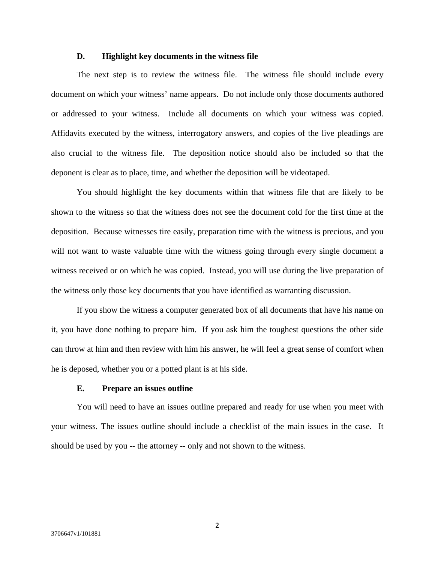## **D. Highlight key documents in the witness file**

The next step is to review the witness file. The witness file should include every document on which your witness' name appears. Do not include only those documents authored or addressed to your witness. Include all documents on which your witness was copied. Affidavits executed by the witness, interrogatory answers, and copies of the live pleadings are also crucial to the witness file. The deposition notice should also be included so that the deponent is clear as to place, time, and whether the deposition will be videotaped.

You should highlight the key documents within that witness file that are likely to be shown to the witness so that the witness does not see the document cold for the first time at the deposition. Because witnesses tire easily, preparation time with the witness is precious, and you will not want to waste valuable time with the witness going through every single document a witness received or on which he was copied. Instead, you will use during the live preparation of the witness only those key documents that you have identified as warranting discussion.

If you show the witness a computer generated box of all documents that have his name on it, you have done nothing to prepare him. If you ask him the toughest questions the other side can throw at him and then review with him his answer, he will feel a great sense of comfort when he is deposed, whether you or a potted plant is at his side.

# **E. Prepare an issues outline**

You will need to have an issues outline prepared and ready for use when you meet with your witness. The issues outline should include a checklist of the main issues in the case. It should be used by you -- the attorney -- only and not shown to the witness.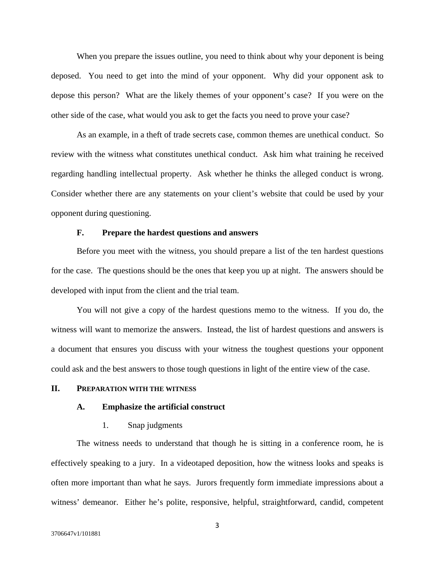When you prepare the issues outline, you need to think about why your deponent is being deposed. You need to get into the mind of your opponent. Why did your opponent ask to depose this person? What are the likely themes of your opponent's case? If you were on the other side of the case, what would you ask to get the facts you need to prove your case?

As an example, in a theft of trade secrets case, common themes are unethical conduct. So review with the witness what constitutes unethical conduct. Ask him what training he received regarding handling intellectual property. Ask whether he thinks the alleged conduct is wrong. Consider whether there are any statements on your client's website that could be used by your opponent during questioning.

# **F. Prepare the hardest questions and answers**

Before you meet with the witness, you should prepare a list of the ten hardest questions for the case. The questions should be the ones that keep you up at night. The answers should be developed with input from the client and the trial team.

You will not give a copy of the hardest questions memo to the witness. If you do, the witness will want to memorize the answers. Instead, the list of hardest questions and answers is a document that ensures you discuss with your witness the toughest questions your opponent could ask and the best answers to those tough questions in light of the entire view of the case.

# **II. PREPARATION WITH THE WITNESS**

# **A. Emphasize the artificial construct**

# 1. Snap judgments

The witness needs to understand that though he is sitting in a conference room, he is effectively speaking to a jury. In a videotaped deposition, how the witness looks and speaks is often more important than what he says. Jurors frequently form immediate impressions about a witness' demeanor. Either he's polite, responsive, helpful, straightforward, candid, competent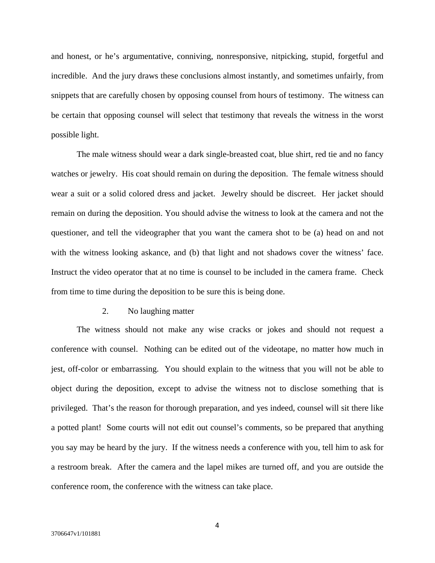and honest, or he's argumentative, conniving, nonresponsive, nitpicking, stupid, forgetful and incredible. And the jury draws these conclusions almost instantly, and sometimes unfairly, from snippets that are carefully chosen by opposing counsel from hours of testimony. The witness can be certain that opposing counsel will select that testimony that reveals the witness in the worst possible light.

The male witness should wear a dark single-breasted coat, blue shirt, red tie and no fancy watches or jewelry. His coat should remain on during the deposition. The female witness should wear a suit or a solid colored dress and jacket. Jewelry should be discreet. Her jacket should remain on during the deposition. You should advise the witness to look at the camera and not the questioner, and tell the videographer that you want the camera shot to be (a) head on and not with the witness looking askance, and (b) that light and not shadows cover the witness' face. Instruct the video operator that at no time is counsel to be included in the camera frame. Check from time to time during the deposition to be sure this is being done.

## 2. No laughing matter

The witness should not make any wise cracks or jokes and should not request a conference with counsel. Nothing can be edited out of the videotape, no matter how much in jest, off-color or embarrassing. You should explain to the witness that you will not be able to object during the deposition, except to advise the witness not to disclose something that is privileged. That's the reason for thorough preparation, and yes indeed, counsel will sit there like a potted plant! Some courts will not edit out counsel's comments, so be prepared that anything you say may be heard by the jury. If the witness needs a conference with you, tell him to ask for a restroom break. After the camera and the lapel mikes are turned off, and you are outside the conference room, the conference with the witness can take place.

4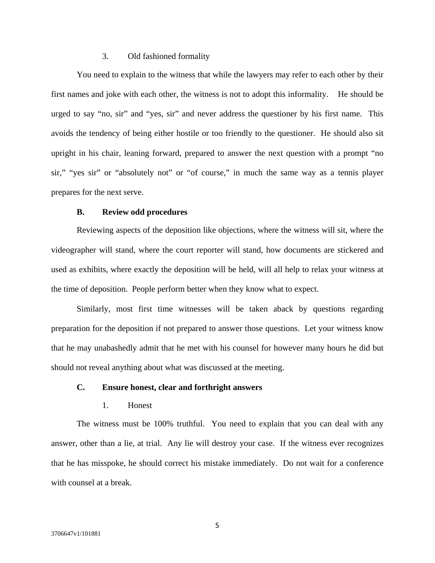# 3. Old fashioned formality

You need to explain to the witness that while the lawyers may refer to each other by their first names and joke with each other, the witness is not to adopt this informality. He should be urged to say "no, sir" and "yes, sir" and never address the questioner by his first name. This avoids the tendency of being either hostile or too friendly to the questioner. He should also sit upright in his chair, leaning forward, prepared to answer the next question with a prompt "no sir," "yes sir" or "absolutely not" or "of course," in much the same way as a tennis player prepares for the next serve.

#### **B. Review odd procedures**

Reviewing aspects of the deposition like objections, where the witness will sit, where the videographer will stand, where the court reporter will stand, how documents are stickered and used as exhibits, where exactly the deposition will be held, will all help to relax your witness at the time of deposition. People perform better when they know what to expect.

Similarly, most first time witnesses will be taken aback by questions regarding preparation for the deposition if not prepared to answer those questions. Let your witness know that he may unabashedly admit that he met with his counsel for however many hours he did but should not reveal anything about what was discussed at the meeting.

# **C. Ensure honest, clear and forthright answers**

# 1. Honest

The witness must be 100% truthful. You need to explain that you can deal with any answer, other than a lie, at trial. Any lie will destroy your case. If the witness ever recognizes that he has misspoke, he should correct his mistake immediately. Do not wait for a conference with counsel at a break.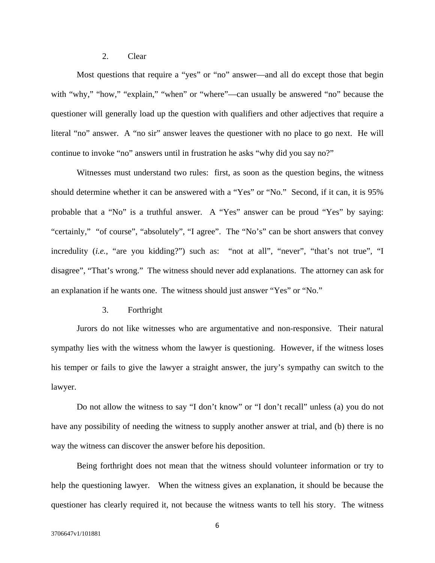# 2. Clear

Most questions that require a "yes" or "no" answer—and all do except those that begin with "why," "how," "explain," "when" or "where"—can usually be answered "no" because the questioner will generally load up the question with qualifiers and other adjectives that require a literal "no" answer. A "no sir" answer leaves the questioner with no place to go next. He will continue to invoke "no" answers until in frustration he asks "why did you say no?"

Witnesses must understand two rules: first, as soon as the question begins, the witness should determine whether it can be answered with a "Yes" or "No." Second, if it can, it is 95% probable that a "No" is a truthful answer. A "Yes" answer can be proud "Yes" by saying: "certainly," "of course", "absolutely", "I agree". The "No's" can be short answers that convey incredulity (*i.e.*, "are you kidding?") such as: "not at all", "never", "that's not true", "I disagree", "That's wrong." The witness should never add explanations. The attorney can ask for an explanation if he wants one. The witness should just answer "Yes" or "No."

# 3. Forthright

Jurors do not like witnesses who are argumentative and non-responsive. Their natural sympathy lies with the witness whom the lawyer is questioning. However, if the witness loses his temper or fails to give the lawyer a straight answer, the jury's sympathy can switch to the lawyer.

Do not allow the witness to say "I don't know" or "I don't recall" unless (a) you do not have any possibility of needing the witness to supply another answer at trial, and (b) there is no way the witness can discover the answer before his deposition.

Being forthright does not mean that the witness should volunteer information or try to help the questioning lawyer. When the witness gives an explanation, it should be because the questioner has clearly required it, not because the witness wants to tell his story. The witness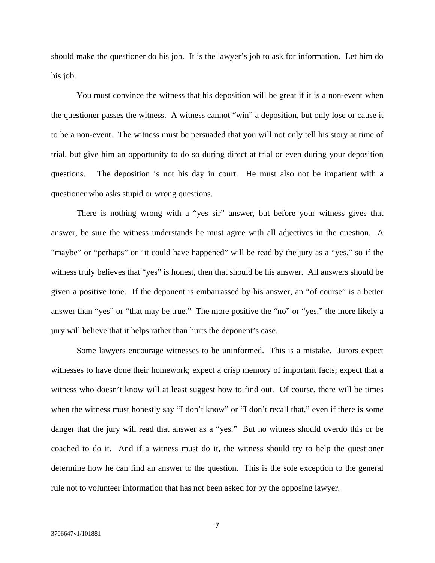should make the questioner do his job. It is the lawyer's job to ask for information. Let him do his job.

You must convince the witness that his deposition will be great if it is a non-event when the questioner passes the witness. A witness cannot "win" a deposition, but only lose or cause it to be a non-event. The witness must be persuaded that you will not only tell his story at time of trial, but give him an opportunity to do so during direct at trial or even during your deposition questions. The deposition is not his day in court. He must also not be impatient with a questioner who asks stupid or wrong questions.

There is nothing wrong with a "yes sir" answer, but before your witness gives that answer, be sure the witness understands he must agree with all adjectives in the question. A "maybe" or "perhaps" or "it could have happened" will be read by the jury as a "yes," so if the witness truly believes that "yes" is honest, then that should be his answer. All answers should be given a positive tone. If the deponent is embarrassed by his answer, an "of course" is a better answer than "yes" or "that may be true." The more positive the "no" or "yes," the more likely a jury will believe that it helps rather than hurts the deponent's case.

Some lawyers encourage witnesses to be uninformed. This is a mistake. Jurors expect witnesses to have done their homework; expect a crisp memory of important facts; expect that a witness who doesn't know will at least suggest how to find out. Of course, there will be times when the witness must honestly say "I don't know" or "I don't recall that," even if there is some danger that the jury will read that answer as a "yes." But no witness should overdo this or be coached to do it. And if a witness must do it, the witness should try to help the questioner determine how he can find an answer to the question. This is the sole exception to the general rule not to volunteer information that has not been asked for by the opposing lawyer.

7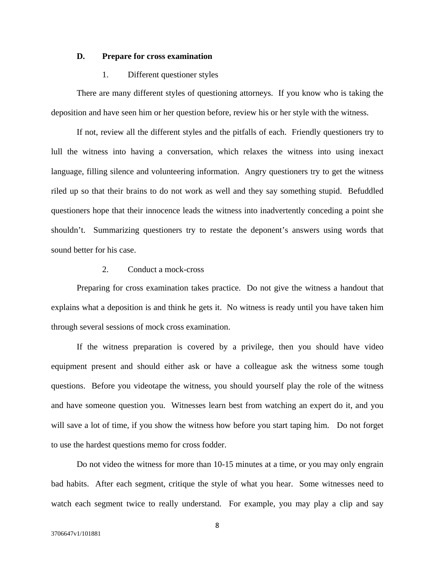### **D. Prepare for cross examination**

# 1. Different questioner styles

There are many different styles of questioning attorneys. If you know who is taking the deposition and have seen him or her question before, review his or her style with the witness.

If not, review all the different styles and the pitfalls of each. Friendly questioners try to lull the witness into having a conversation, which relaxes the witness into using inexact language, filling silence and volunteering information. Angry questioners try to get the witness riled up so that their brains to do not work as well and they say something stupid. Befuddled questioners hope that their innocence leads the witness into inadvertently conceding a point she shouldn't. Summarizing questioners try to restate the deponent's answers using words that sound better for his case.

# 2. Conduct a mock-cross

Preparing for cross examination takes practice. Do not give the witness a handout that explains what a deposition is and think he gets it. No witness is ready until you have taken him through several sessions of mock cross examination.

If the witness preparation is covered by a privilege, then you should have video equipment present and should either ask or have a colleague ask the witness some tough questions. Before you videotape the witness, you should yourself play the role of the witness and have someone question you. Witnesses learn best from watching an expert do it, and you will save a lot of time, if you show the witness how before you start taping him. Do not forget to use the hardest questions memo for cross fodder.

Do not video the witness for more than 10-15 minutes at a time, or you may only engrain bad habits. After each segment, critique the style of what you hear. Some witnesses need to watch each segment twice to really understand. For example, you may play a clip and say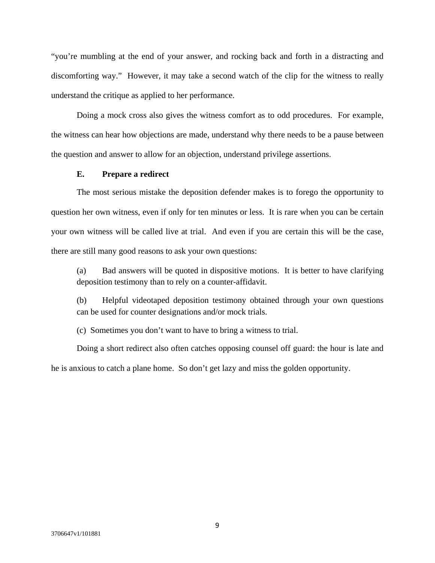"you're mumbling at the end of your answer, and rocking back and forth in a distracting and discomforting way." However, it may take a second watch of the clip for the witness to really understand the critique as applied to her performance.

Doing a mock cross also gives the witness comfort as to odd procedures. For example, the witness can hear how objections are made, understand why there needs to be a pause between the question and answer to allow for an objection, understand privilege assertions.

## **E. Prepare a redirect**

The most serious mistake the deposition defender makes is to forego the opportunity to question her own witness, even if only for ten minutes or less. It is rare when you can be certain your own witness will be called live at trial. And even if you are certain this will be the case, there are still many good reasons to ask your own questions:

(a) Bad answers will be quoted in dispositive motions. It is better to have clarifying deposition testimony than to rely on a counter-affidavit.

(b) Helpful videotaped deposition testimony obtained through your own questions can be used for counter designations and/or mock trials.

(c) Sometimes you don't want to have to bring a witness to trial.

Doing a short redirect also often catches opposing counsel off guard: the hour is late and he is anxious to catch a plane home. So don't get lazy and miss the golden opportunity.